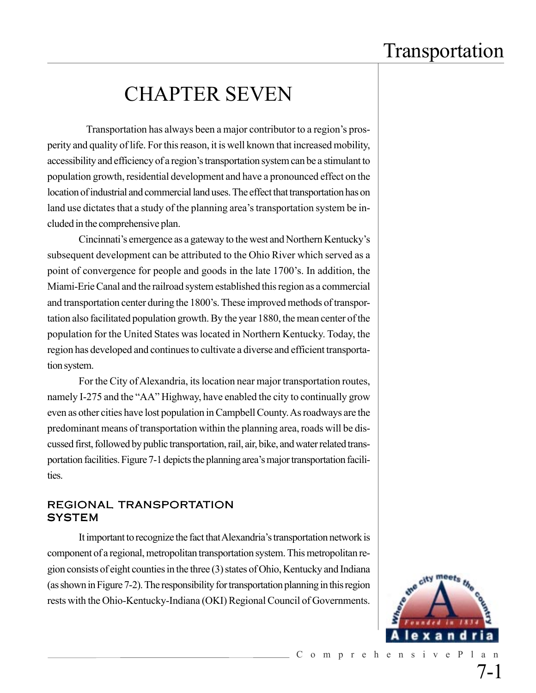## CHAPTER SEVEN

 Transportation has always been a major contributor to a region's prosperity and quality of life. For this reason, it is well known that increased mobility, accessibility and efficiency of a region's transportation system can be a stimulant to population growth, residential development and have a pronounced effect on the location of industrial and commercial land uses. The effect that transportation has on land use dictates that a study of the planning area's transportation system be included in the comprehensive plan.

Cincinnati's emergence as a gateway to the west and Northern Kentucky's subsequent development can be attributed to the Ohio River which served as a point of convergence for people and goods in the late 1700's. In addition, the Miami-Erie Canal and the railroad system established this region as a commercial and transportation center during the 1800's. These improved methods of transportation also facilitated population growth. By the year 1880, the mean center of the population for the United States was located in Northern Kentucky. Today, the region has developed and continues to cultivate a diverse and efficient transportation system.

For the City of Alexandria, its location near major transportation routes, namely I-275 and the "AA" Highway, have enabled the city to continually grow even as other cities have lost population in Campbell County. As roadways are the predominant means of transportation within the planning area, roads will be discussed first, followed by public transportation, rail, air, bike, and water related transportation facilities. Figure 7-1 depicts the planning area's major transportation facilities.

#### REGIONAL TRANSPORTATION **SYSTEM**

It important to recognize the fact that Alexandria's transportation network is component of a regional, metropolitan transportation system. This metropolitan region consists of eight counties in the three (3) states of Ohio, Kentucky and Indiana (as shown in Figure 7-2). The responsibility for transportation planning in this region rests with the Ohio-Kentucky-Indiana (OKI) Regional Council of Governments.

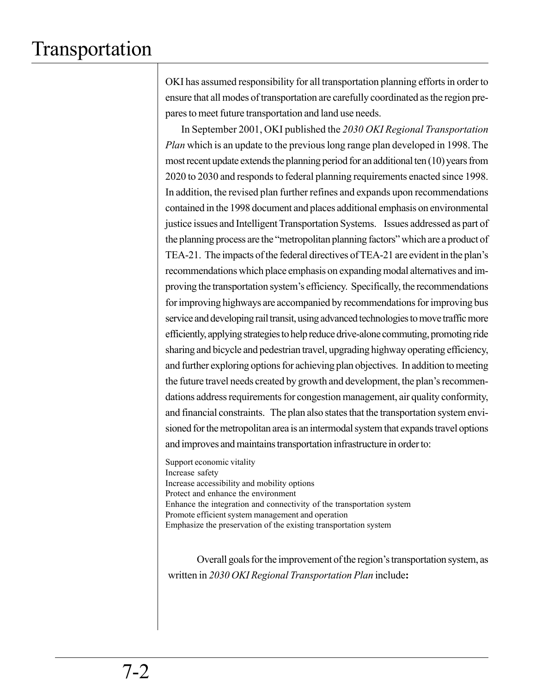OKI has assumed responsibility for all transportation planning efforts in order to ensure that all modes of transportation are carefully coordinated as the region prepares to meet future transportation and land use needs.

In September 2001, OKI published the *2030 OKI Regional Transportation Plan* which is an update to the previous long range plan developed in 1998. The most recent update extends the planning period for an additional ten (10) years from 2020 to 2030 and responds to federal planning requirements enacted since 1998. In addition, the revised plan further refines and expands upon recommendations contained in the 1998 document and places additional emphasis on environmental justice issues and Intelligent Transportation Systems. Issues addressed as part of the planning process are the "metropolitan planning factors" which are a product of TEA-21. The impacts of the federal directives of TEA-21 are evident in the plan's recommendations which place emphasis on expanding modal alternatives and improving the transportation system's efficiency. Specifically, the recommendations for improving highways are accompanied by recommendations for improving bus service and developing rail transit, using advanced technologies to move traffic more efficiently, applying strategies to help reduce drive-alone commuting, promoting ride sharing and bicycle and pedestrian travel, upgrading highway operating efficiency, and further exploring options for achieving plan objectives. In addition to meeting the future travel needs created by growth and development, the plan's recommendations address requirements for congestion management, air quality conformity, and financial constraints. The plan also states that the transportation system envisioned for the metropolitan area is an intermodal system that expands travel options and improves and maintains transportation infrastructure in order to:

Support economic vitality Increase safety Increase accessibility and mobility options Protect and enhance the environment Enhance the integration and connectivity of the transportation system Promote efficient system management and operation Emphasize the preservation of the existing transportation system

Overall goals for the improvement of the region's transportation system, as written in *2030 OKI Regional Transportation Plan* include**:**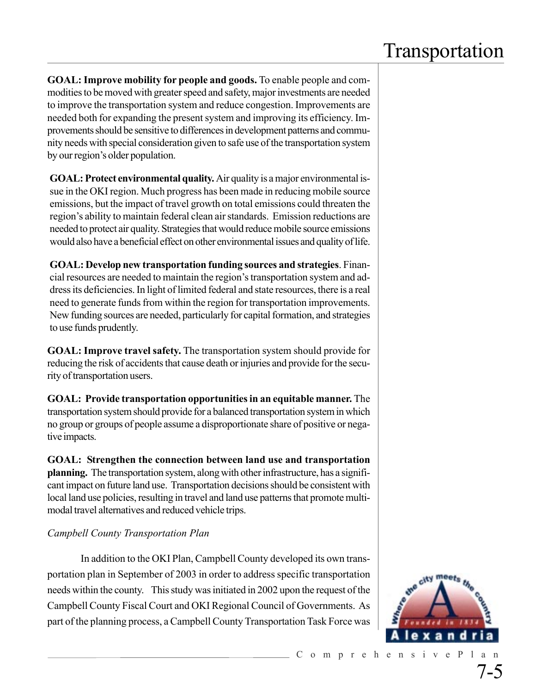**GOAL: Improve mobility for people and goods.** To enable people and commodities to be moved with greater speed and safety, major investments are needed to improve the transportation system and reduce congestion. Improvements are needed both for expanding the present system and improving its efficiency. Improvements should be sensitive to differences in development patterns and community needs with special consideration given to safe use of the transportation system by our region's older population.

**GOAL: Protect environmental quality.** Air quality is a major environmental issue in the OKI region. Much progress has been made in reducing mobile source emissions, but the impact of travel growth on total emissions could threaten the region's ability to maintain federal clean air standards. Emission reductions are needed to protect air quality. Strategies that would reduce mobile source emissions would also have a beneficial effect on other environmental issues and quality of life.

**GOAL: Develop new transportation funding sources and strategies**. Financial resources are needed to maintain the region's transportation system and address its deficiencies. In light of limited federal and state resources, there is a real need to generate funds from within the region for transportation improvements. New funding sources are needed, particularly for capital formation, and strategies to use funds prudently.

**GOAL: Improve travel safety.** The transportation system should provide for reducing the risk of accidents that cause death or injuries and provide for the security of transportation users.

**GOAL: Provide transportation opportunities in an equitable manner.** The transportation system should provide for a balanced transportation system in which no group or groups of people assume a disproportionate share of positive or negative impacts.

**GOAL: Strengthen the connection between land use and transportation planning.** The transportation system, along with other infrastructure, has a significant impact on future land use. Transportation decisions should be consistent with local land use policies, resulting in travel and land use patterns that promote multimodal travel alternatives and reduced vehicle trips.

#### *Campbell County Transportation Plan*

 In addition to the OKI Plan, Campbell County developed its own transportation plan in September of 2003 in order to address specific transportation needs within the county. This study was initiated in 2002 upon the request of the Campbell County Fiscal Court and OKI Regional Council of Governments. As part of the planning process, a Campbell County Transportation Task Force was

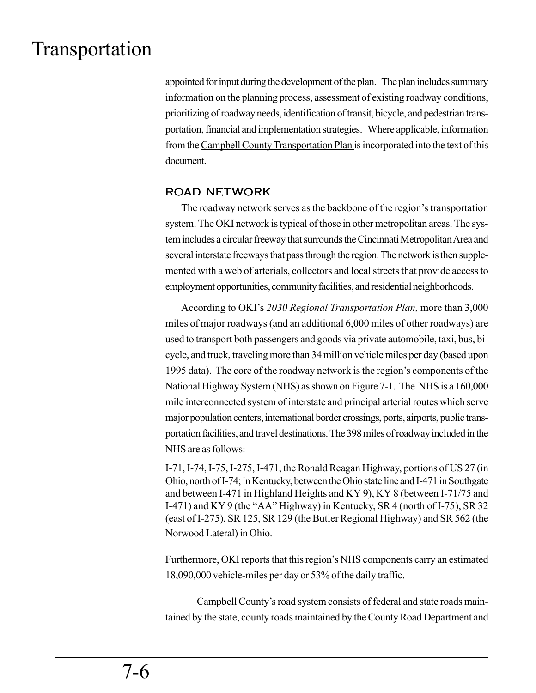appointed for input during the development of the plan. The plan includes summary information on the planning process, assessment of existing roadway conditions, prioritizing of roadway needs, identification of transit, bicycle, and pedestrian transportation, financial and implementation strategies. Where applicable, information from the Campbell County Transportation Plan is incorporated into the text of this document.

### ROAD NETWORK

The roadway network serves as the backbone of the region's transportation system. The OKI network is typical of those in other metropolitan areas. The system includes a circular freeway that surrounds the Cincinnati Metropolitan Area and several interstate freeways that pass through the region. The network is then supplemented with a web of arterials, collectors and local streets that provide access to employment opportunities, community facilities, and residential neighborhoods.

According to OKI's *2030 Regional Transportation Plan,* more than 3,000 miles of major roadways (and an additional 6,000 miles of other roadways) are used to transport both passengers and goods via private automobile, taxi, bus, bicycle, and truck, traveling more than 34 million vehicle miles per day (based upon 1995 data). The core of the roadway network is the region's components of the National Highway System (NHS) as shown on Figure 7-1. The NHS is a 160,000 mile interconnected system of interstate and principal arterial routes which serve major population centers, international border crossings, ports, airports, public transportation facilities, and travel destinations. The 398 miles of roadway included in the NHS are as follows:

I-71, I-74, I-75, I-275, I-471, the Ronald Reagan Highway, portions of US 27 (in Ohio, north of I-74; in Kentucky, between the Ohio state line and I-471 in Southgate and between I-471 in Highland Heights and KY 9), KY 8 (between I-71/75 and I-471) and KY 9 (the "AA" Highway) in Kentucky, SR 4 (north of I-75), SR 32 (east of I-275), SR 125, SR 129 (the Butler Regional Highway) and SR 562 (the Norwood Lateral) in Ohio.

Furthermore, OKI reports that this region's NHS components carry an estimated 18,090,000 vehicle-miles per day or 53% of the daily traffic.

Campbell County's road system consists of federal and state roads maintained by the state, county roads maintained by the County Road Department and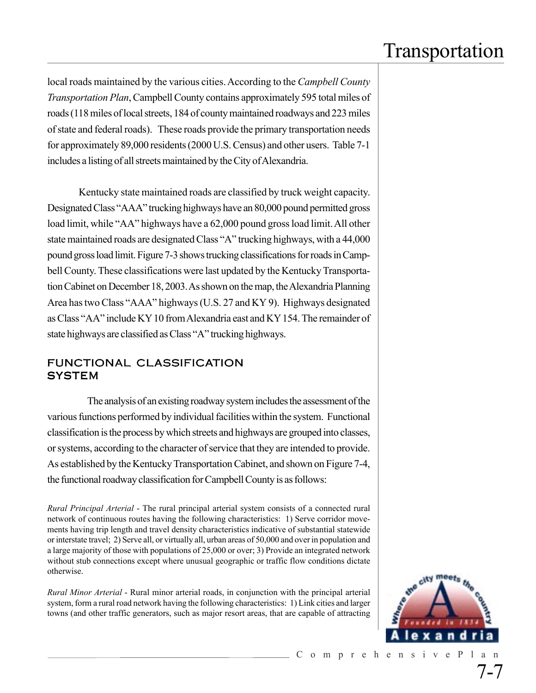local roads maintained by the various cities. According to the *Campbell County Transportation Plan*, Campbell County contains approximately 595 total miles of roads (118 miles of local streets, 184 of county maintained roadways and 223 miles of state and federal roads). These roads provide the primary transportation needs for approximately 89,000 residents (2000 U.S. Census) and other users. Table 7-1 includes a listing of all streets maintained by the City of Alexandria.

Kentucky state maintained roads are classified by truck weight capacity. Designated Class "AAA" trucking highways have an 80,000 pound permitted gross load limit, while "AA" highways have a 62,000 pound gross load limit. All other state maintained roads are designated Class "A" trucking highways, with a 44,000 pound gross load limit. Figure 7-3 shows trucking classifications for roads in Campbell County. These classifications were last updated by the Kentucky Transportation Cabinet on December 18, 2003. As shown on the map, the Alexandria Planning Area has two Class "AAA" highways (U.S. 27 and KY 9). Highways designated as Class "AA" include KY 10 from Alexandria east and KY 154. The remainder of state highways are classified as Class "A" trucking highways.

#### FUNCTIONAL CLASSIFICATION **SYSTEM**

The analysis of an existing roadway system includes the assessment of the various functions performed by individual facilities within the system. Functional classification is the process by which streets and highways are grouped into classes, or systems, according to the character of service that they are intended to provide. As established by the Kentucky Transportation Cabinet, and shown on Figure 7-4, the functional roadway classification for Campbell County is as follows:

*Rural Principal Arterial* - The rural principal arterial system consists of a connected rural network of continuous routes having the following characteristics: 1) Serve corridor movements having trip length and travel density characteristics indicative of substantial statewide or interstate travel; 2) Serve all, or virtually all, urban areas of 50,000 and over in population and a large majority of those with populations of 25,000 or over; 3) Provide an integrated network without stub connections except where unusual geographic or traffic flow conditions dictate otherwise.

*Rural Minor Arterial* - Rural minor arterial roads, in conjunction with the principal arterial system, form a rural road network having the following characteristics: 1) Link cities and larger towns (and other traffic generators, such as major resort areas, that are capable of attracting

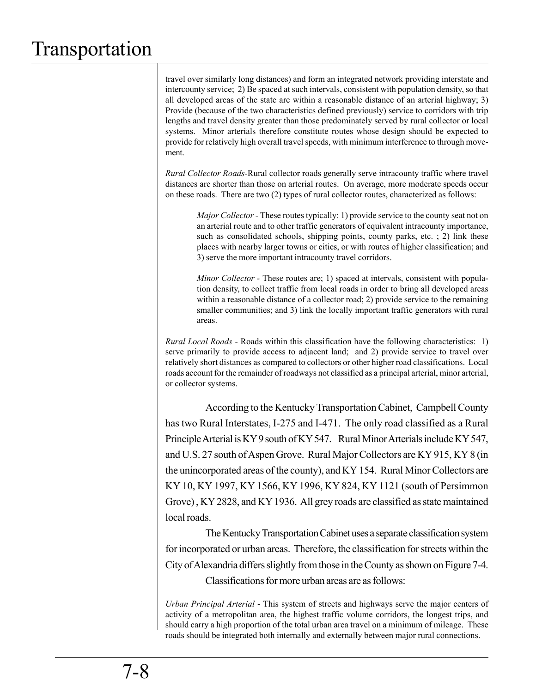travel over similarly long distances) and form an integrated network providing interstate and intercounty service; 2) Be spaced at such intervals, consistent with population density, so that all developed areas of the state are within a reasonable distance of an arterial highway; 3) Provide (because of the two characteristics defined previously) service to corridors with trip lengths and travel density greater than those predominately served by rural collector or local systems. Minor arterials therefore constitute routes whose design should be expected to provide for relatively high overall travel speeds, with minimum interference to through movement.

*Rural Collector Roads-*Rural collector roads generally serve intracounty traffic where travel distances are shorter than those on arterial routes. On average, more moderate speeds occur on these roads. There are two (2) types of rural collector routes, characterized as follows:

*Major Collector* - These routes typically: 1) provide service to the county seat not on an arterial route and to other traffic generators of equivalent intracounty importance, such as consolidated schools, shipping points, county parks, etc. ; 2) link these places with nearby larger towns or cities, or with routes of higher classification; and 3) serve the more important intracounty travel corridors.

*Minor Collector -* These routes are; 1) spaced at intervals, consistent with population density, to collect traffic from local roads in order to bring all developed areas within a reasonable distance of a collector road; 2) provide service to the remaining smaller communities; and 3) link the locally important traffic generators with rural areas.

*Rural Local Roads* - Roads within this classification have the following characteristics: 1) serve primarily to provide access to adjacent land; and 2) provide service to travel over relatively short distances as compared to collectors or other higher road classifications. Local roads account for the remainder of roadways not classified as a principal arterial, minor arterial, or collector systems.

According to the Kentucky Transportation Cabinet, Campbell County has two Rural Interstates, I-275 and I-471. The only road classified as a Rural Principle Arterial is KY 9 south of KY 547. Rural Minor Arterials include KY 547, and U.S. 27 south of Aspen Grove. Rural Major Collectors are KY 915, KY 8 (in the unincorporated areas of the county), and KY 154. Rural Minor Collectors are KY 10, KY 1997, KY 1566, KY 1996, KY 824, KY 1121 (south of Persimmon Grove) , KY 2828, and KY 1936. All grey roads are classified as state maintained local roads.

The Kentucky Transportation Cabinet uses a separate classification system for incorporated or urban areas. Therefore, the classification for streets within the City of Alexandria differs slightly from those in the County as shown on Figure 7-4.

Classifications for more urban areas are as follows:

*Urban Principal Arterial* - This system of streets and highways serve the major centers of activity of a metropolitan area, the highest traffic volume corridors, the longest trips, and should carry a high proportion of the total urban area travel on a minimum of mileage. These roads should be integrated both internally and externally between major rural connections.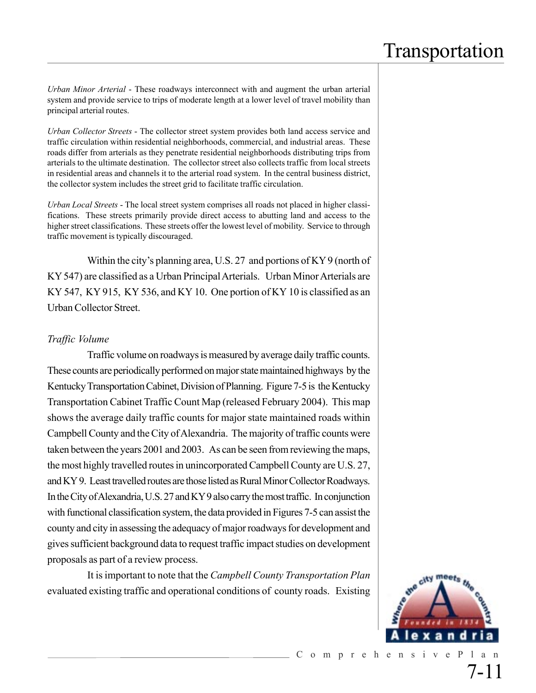*Urban Minor Arterial* - These roadways interconnect with and augment the urban arterial system and provide service to trips of moderate length at a lower level of travel mobility than principal arterial routes.

*Urban Collector Streets* - The collector street system provides both land access service and traffic circulation within residential neighborhoods, commercial, and industrial areas. These roads differ from arterials as they penetrate residential neighborhoods distributing trips from arterials to the ultimate destination. The collector street also collects traffic from local streets in residential areas and channels it to the arterial road system. In the central business district, the collector system includes the street grid to facilitate traffic circulation.

*Urban Local Streets* - The local street system comprises all roads not placed in higher classifications. These streets primarily provide direct access to abutting land and access to the higher street classifications. These streets offer the lowest level of mobility. Service to through traffic movement is typically discouraged.

Within the city's planning area, U.S. 27 and portions of KY 9 (north of KY 547) are classified as a Urban Principal Arterials. Urban Minor Arterials are KY 547, KY 915, KY 536, and KY 10. One portion of KY 10 is classified as an Urban Collector Street.

#### *Traffic Volume*

Traffic volume on roadways is measured by average daily traffic counts. These counts are periodically performed on major state maintained highways by the Kentucky Transportation Cabinet, Division of Planning. Figure 7-5 is the Kentucky Transportation Cabinet Traffic Count Map (released February 2004). This map shows the average daily traffic counts for major state maintained roads within Campbell County and the City of Alexandria. The majority of traffic counts were taken between the years 2001 and 2003. As can be seen from reviewing the maps, the most highly travelled routes in unincorporated Campbell County are U.S. 27, and KY 9. Least travelled routes are those listed as Rural Minor Collector Roadways. In the City of Alexandria, U.S. 27 and KY 9 also carry the most traffic. In conjunction with functional classification system, the data provided in Figures 7-5 can assist the county and city in assessing the adequacy of major roadways for development and gives sufficient background data to request traffic impact studies on development proposals as part of a review process.

It is important to note that the *Campbell County Transportation Plan* evaluated existing traffic and operational conditions of county roads. Existing

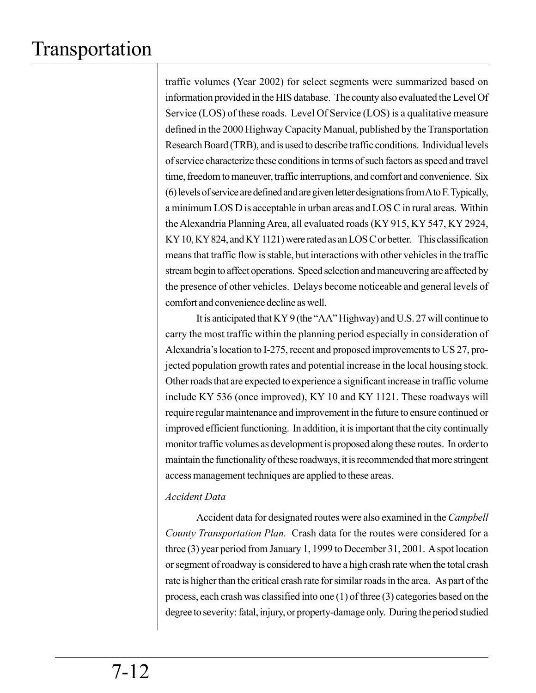traffic volumes (Year 2002) for select segments were summarized based on information provided in the HIS database. The county also evaluated the Level Of Service (LOS) of these roads. Level Of Service (LOS) is a qualitative measure defined in the 2000 Highway Capacity Manual, published by the Transportation Research Board (TRB), and is used to describe traffic conditions. Individual levels of service characterize these conditions in terms of such factors as speed and travel time, freedom to maneuver, traffic interruptions, and comfort and convenience. Six (6) levels of service are defined and are given letter designations from A to F. Typically, a minimum LOS D is acceptable in urban areas and LOS C in rural areas. Within the Alexandria Planning Area, all evaluated roads (KY 915, KY 547, KY 2924, KY 10, KY 824, and KY 1121) were rated as an LOS C or better. This classification means that traffic flow is stable, but interactions with other vehicles in the traffic stream begin to affect operations. Speed selection and maneuvering are affected by the presence of other vehicles. Delays become noticeable and general levels of comfort and convenience decline as well.

It is anticipated that KY 9 (the "AA" Highway) and U.S. 27 will continue to carry the most traffic within the planning period especially in consideration of Alexandria's location to I-275, recent and proposed improvements to US 27, projected population growth rates and potential increase in the local housing stock. Other roads that are expected to experience a significant increase in traffic volume include KY 536 (once improved), KY 10 and KY 1121. These roadways will require regular maintenance and improvement in the future to ensure continued or improved efficient functioning. In addition, it is important that the city continually monitor traffic volumes as development is proposed along these routes. In order to maintain the functionality of these roadways, it is recommended that more stringent access management techniques are applied to these areas.

#### *Accident Data*

Accident data for designated routes were also examined in the *Campbell County Transportation Plan.* Crash data for the routes were considered for a three (3) year period from January 1, 1999 to December 31, 2001. A spot location or segment of roadway is considered to have a high crash rate when the total crash rate is higher than the critical crash rate for similar roads in the area. As part of the process, each crash was classified into one (1) of three (3) categories based on the degree to severity: fatal, injury, or property-damage only. During the period studied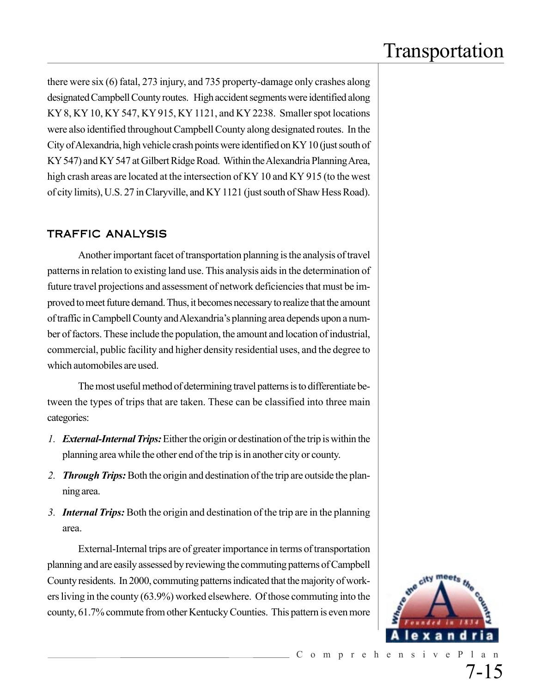there were six (6) fatal, 273 injury, and 735 property-damage only crashes along designated Campbell County routes. High accident segments were identified along KY 8, KY 10, KY 547, KY 915, KY 1121, and KY 2238. Smaller spot locations were also identified throughout Campbell County along designated routes. In the City of Alexandria, high vehicle crash points were identified on KY 10 (just south of KY 547) and KY 547 at Gilbert Ridge Road. Within the Alexandria Planning Area, high crash areas are located at the intersection of KY 10 and KY 915 (to the west of city limits), U.S. 27 in Claryville, and KY 1121 (just south of Shaw Hess Road).

### TRAFFIC ANALYSIS

Another important facet of transportation planning is the analysis of travel patterns in relation to existing land use. This analysis aids in the determination of future travel projections and assessment of network deficiencies that must be improved to meet future demand. Thus, it becomes necessary to realize that the amount of traffic in Campbell County and Alexandria's planning area depends upon a number of factors. These include the population, the amount and location of industrial, commercial, public facility and higher density residential uses, and the degree to which automobiles are used.

The most useful method of determining travel patterns is to differentiate between the types of trips that are taken. These can be classified into three main categories:

- *1. External-Internal Trips:*Either the origin or destination of the trip is within the planning area while the other end of the trip is in another city or county.
- 2. *Through Trips:* Both the origin and destination of the trip are outside the planning area.
- *3. Internal Trips:* Both the origin and destination of the trip are in the planning area.

External-Internal trips are of greater importance in terms of transportation planning and are easily assessed by reviewing the commuting patterns of Campbell County residents. In 2000, commuting patterns indicated that the majority of workers living in the county (63.9%) worked elsewhere. Of those commuting into the county, 61.7% commute from other Kentucky Counties. This pattern is even more

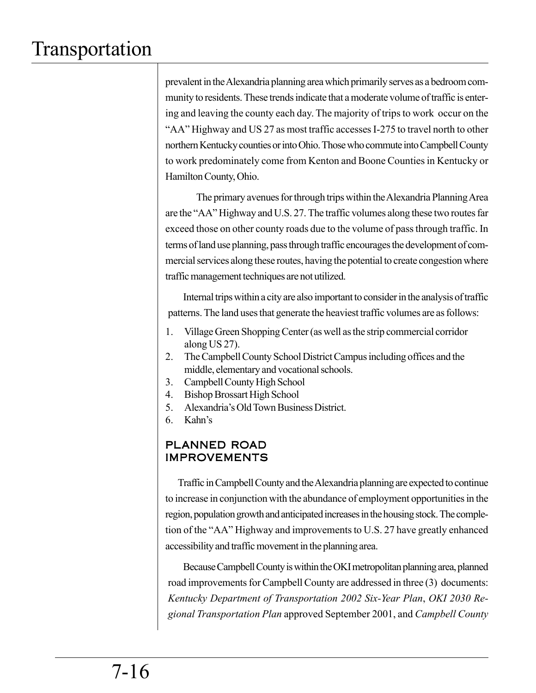prevalent in the Alexandria planning area which primarily serves as a bedroom community to residents. These trends indicate that a moderate volume of traffic is entering and leaving the county each day. The majority of trips to work occur on the "AA" Highway and US 27 as most traffic accesses I-275 to travel north to other northern Kentucky counties or into Ohio. Those who commute into Campbell County to work predominately come from Kenton and Boone Counties in Kentucky or Hamilton County, Ohio.

The primary avenues for through trips within the Alexandria Planning Area are the "AA" Highway and U.S. 27. The traffic volumes along these two routes far exceed those on other county roads due to the volume of pass through traffic. In terms of land use planning, pass through traffic encourages the development of commercial services along these routes, having the potential to create congestion where traffic management techniques are not utilized.

Internal trips within a city are also important to consider in the analysis of traffic patterns. The land uses that generate the heaviest traffic volumes are as follows:

- 1. Village Green Shopping Center (as well as the strip commercial corridor along US 27).
- 2. The Campbell County School District Campus including offices and the middle, elementary and vocational schools.
- 3. Campbell County High School
- 4. Bishop Brossart High School
- 5. Alexandria's Old Town Business District.
- 6. Kahn's

### PLANNED ROAD IMPROVEMENTS

Traffic in Campbell County and the Alexandria planning are expected to continue to increase in conjunction with the abundance of employment opportunities in the region, population growth and anticipated increases in the housing stock. The completion of the "AA" Highway and improvements to U.S. 27 have greatly enhanced accessibility and traffic movement in the planning area.

Because Campbell County is within the OKI metropolitan planning area, planned road improvements for Campbell County are addressed in three (3) documents: *Kentucky Department of Transportation 2002 Six-Year Plan*, *OKI 2030 Regional Transportation Plan* approved September 2001, and *Campbell County*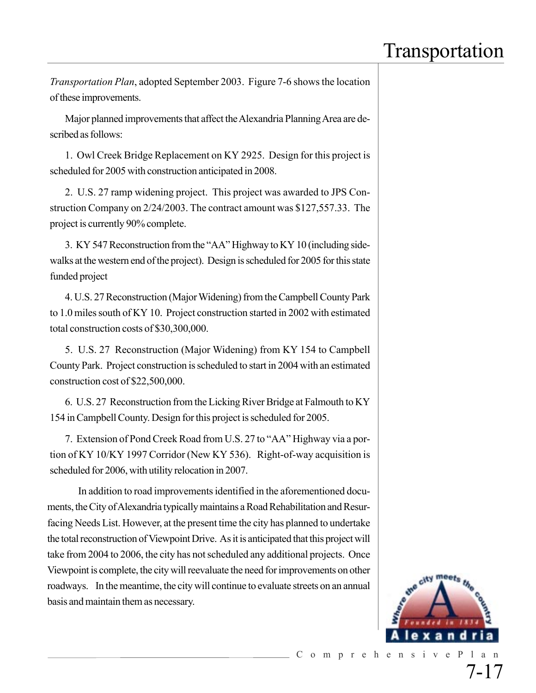*Transportation Plan*, adopted September 2003. Figure 7-6 shows the location of these improvements.

Major planned improvements that affect the Alexandria Planning Area are described as follows:

1. Owl Creek Bridge Replacement on KY 2925. Design for this project is scheduled for 2005 with construction anticipated in 2008.

2. U.S. 27 ramp widening project. This project was awarded to JPS Construction Company on 2/24/2003. The contract amount was \$127,557.33. The project is currently 90% complete.

3. KY 547 Reconstruction from the "AA" Highway to KY 10 (including sidewalks at the western end of the project). Design is scheduled for 2005 for this state funded project

4. U.S. 27 Reconstruction (Major Widening) from the Campbell County Park to 1.0 miles south of KY 10. Project construction started in 2002 with estimated total construction costs of \$30,300,000.

5. U.S. 27 Reconstruction (Major Widening) from KY 154 to Campbell County Park. Project construction is scheduled to start in 2004 with an estimated construction cost of \$22,500,000.

6. U.S. 27 Reconstruction from the Licking River Bridge at Falmouth to KY 154 in Campbell County. Design for this project is scheduled for 2005.

7. Extension of Pond Creek Road from U.S. 27 to "AA" Highway via a portion of KY 10/KY 1997 Corridor (New KY 536). Right-of-way acquisition is scheduled for 2006, with utility relocation in 2007.

In addition to road improvements identified in the aforementioned documents, the City of Alexandria typically maintains a Road Rehabilitation and Resurfacing Needs List. However, at the present time the city has planned to undertake the total reconstruction of Viewpoint Drive. As it is anticipated that this project will take from 2004 to 2006, the city has not scheduled any additional projects. Once Viewpoint is complete, the city will reevaluate the need for improvements on other roadways. In the meantime, the city will continue to evaluate streets on an annual basis and maintain them as necessary.

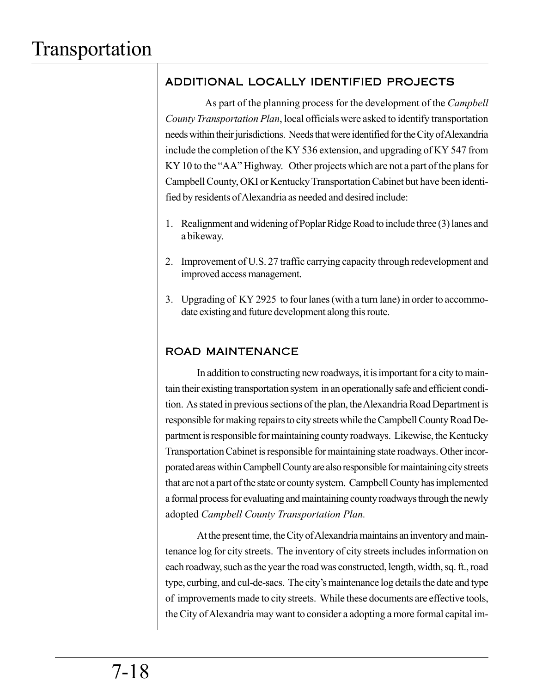### ADDITIONAL LOCALLY IDENTIFIED PROJECTS

 As part of the planning process for the development of the *Campbell County Transportation Plan*, local officials were asked to identify transportation needs within their jurisdictions. Needs that were identified for the City of Alexandria include the completion of the KY 536 extension, and upgrading of KY 547 from KY 10 to the "AA" Highway. Other projects which are not a part of the plans for Campbell County, OKI or Kentucky Transportation Cabinet but have been identified by residents of Alexandria as needed and desired include:

- 1. Realignment and widening of Poplar Ridge Road to include three (3) lanes and a bikeway.
- 2. Improvement of U.S. 27 traffic carrying capacity through redevelopment and improved access management.
- 3. Upgrading of KY 2925 to four lanes (with a turn lane) in order to accommodate existing and future development along this route.

### ROAD MAINTENANCE

In addition to constructing new roadways, it is important for a city to maintain their existing transportation system in an operationally safe and efficient condition. As stated in previous sections of the plan, the Alexandria Road Department is responsible for making repairs to city streets while the Campbell County Road Department is responsible for maintaining county roadways. Likewise, the Kentucky Transportation Cabinet is responsible for maintaining state roadways. Other incorporated areas within Campbell County are also responsible for maintaining city streets that are not a part of the state or county system. Campbell County has implemented a formal process for evaluating and maintaining county roadways through the newly adopted *Campbell County Transportation Plan.*

At the present time, the City of Alexandria maintains an inventory and maintenance log for city streets. The inventory of city streets includes information on each roadway, such as the year the road was constructed, length, width, sq. ft., road type, curbing, and cul-de-sacs. The city's maintenance log details the date and type of improvements made to city streets. While these documents are effective tools, the City of Alexandria may want to consider a adopting a more formal capital im-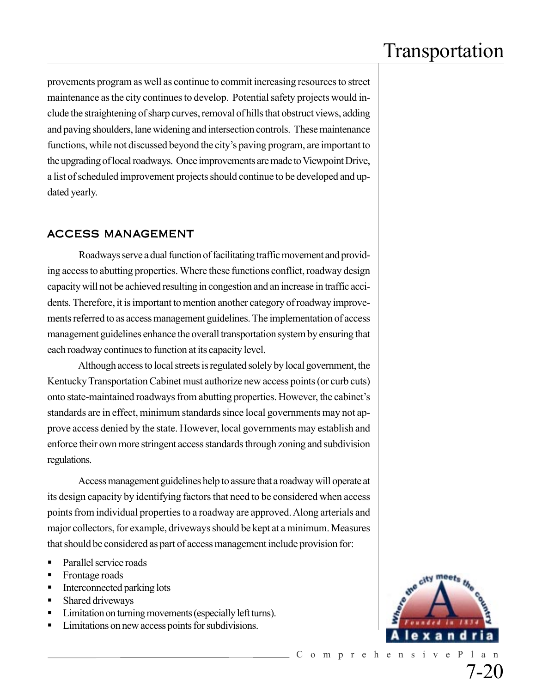provements program as well as continue to commit increasing resources to street maintenance as the city continues to develop. Potential safety projects would include the straightening of sharp curves, removal of hills that obstruct views, adding and paving shoulders, lane widening and intersection controls. These maintenance functions, while not discussed beyond the city's paving program, are important to the upgrading of local roadways. Once improvements are made to Viewpoint Drive, a list of scheduled improvement projects should continue to be developed and updated yearly.

#### ACCESS MANAGEMENT

Roadways serve a dual function of facilitating traffic movement and providing access to abutting properties. Where these functions conflict, roadway design capacity will not be achieved resulting in congestion and an increase in traffic accidents. Therefore, it is important to mention another category of roadway improvements referred to as access management guidelines. The implementation of access management guidelines enhance the overall transportation system by ensuring that each roadway continues to function at its capacity level.

Although access to local streets is regulated solely by local government, the Kentucky Transportation Cabinet must authorize new access points (or curb cuts) onto state-maintained roadways from abutting properties. However, the cabinet's standards are in effect, minimum standards since local governments may not approve access denied by the state. However, local governments may establish and enforce their own more stringent access standards through zoning and subdivision regulations.

Access management guidelines help to assure that a roadway will operate at its design capacity by identifying factors that need to be considered when access points from individual properties to a roadway are approved. Along arterials and major collectors, for example, driveways should be kept at a minimum. Measures that should be considered as part of access management include provision for:

- Parallel service roads
- Frontage roads
- Interconnected parking lots
- Shared driveways
- Limitation on turning movements (especially left turns).
- Limitations on new access points for subdivisions.

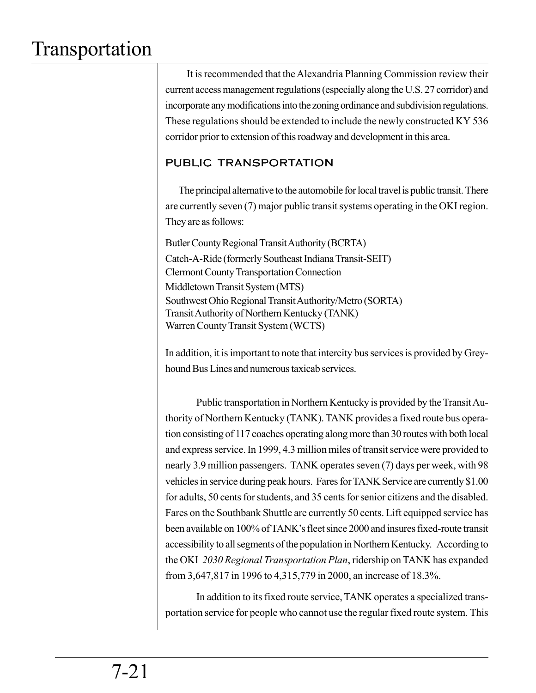It is recommended that the Alexandria Planning Commission review their current access management regulations (especially along the U.S. 27 corridor) and incorporate any modifications into the zoning ordinance and subdivision regulations. These regulations should be extended to include the newly constructed KY 536 corridor prior to extension of this roadway and development in this area.

### PUBLIC TRANSPORTATION

The principal alternative to the automobile for local travel is public transit. There are currently seven (7) major public transit systems operating in the OKI region. They are as follows:

Butler County Regional Transit Authority (BCRTA) Catch-A-Ride (formerly Southeast Indiana Transit-SEIT) Clermont County Transportation Connection Middletown Transit System (MTS) Southwest Ohio Regional Transit Authority/Metro (SORTA) Transit Authority of Northern Kentucky (TANK) Warren County Transit System (WCTS)

In addition, it is important to note that intercity bus services is provided by Greyhound Bus Lines and numerous taxicab services.

Public transportation in Northern Kentucky is provided by the Transit Authority of Northern Kentucky (TANK). TANK provides a fixed route bus operation consisting of 117 coaches operating along more than 30 routes with both local and express service. In 1999, 4.3 million miles of transit service were provided to nearly 3.9 million passengers. TANK operates seven (7) days per week, with 98 vehicles in service during peak hours. Fares for TANK Service are currently \$1.00 for adults, 50 cents for students, and 35 cents for senior citizens and the disabled. Fares on the Southbank Shuttle are currently 50 cents. Lift equipped service has been available on 100% of TANK's fleet since 2000 and insures fixed-route transit accessibility to all segments of the population in Northern Kentucky. According to the OKI *2030 Regional Transportation Plan*, ridership on TANK has expanded from 3,647,817 in 1996 to 4,315,779 in 2000, an increase of 18.3%.

In addition to its fixed route service, TANK operates a specialized transportation service for people who cannot use the regular fixed route system. This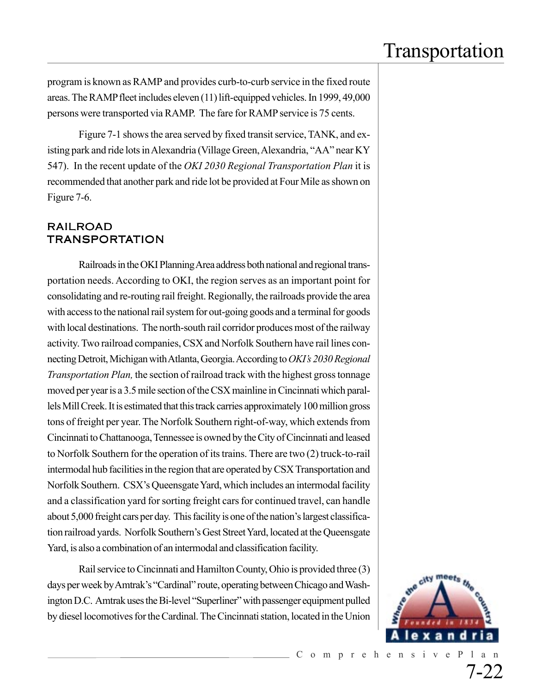program is known as RAMP and provides curb-to-curb service in the fixed route areas. The RAMP fleet includes eleven (11) lift-equipped vehicles. In 1999, 49,000 persons were transported via RAMP. The fare for RAMP service is 75 cents.

Figure 7-1 shows the area served by fixed transit service, TANK, and existing park and ride lots in Alexandria (Village Green, Alexandria, "AA" near KY 547). In the recent update of the *OKI 2030 Regional Transportation Plan* it is recommended that another park and ride lot be provided at Four Mile as shown on Figure 7-6.

### RAILROAD TRANSPORTATION

Railroads in the OKI Planning Area address both national and regional transportation needs. According to OKI, the region serves as an important point for consolidating and re-routing rail freight. Regionally, the railroads provide the area with access to the national rail system for out-going goods and a terminal for goods with local destinations. The north-south rail corridor produces most of the railway activity. Two railroad companies, CSX and Norfolk Southern have rail lines connecting Detroit, Michigan with Atlanta, Georgia. According to *OKI's 2030 Regional Transportation Plan,* the section of railroad track with the highest gross tonnage moved per year is a 3.5 mile section of the CSX mainline in Cincinnati which parallels Mill Creek. It is estimated that this track carries approximately 100 million gross tons of freight per year. The Norfolk Southern right-of-way, which extends from Cincinnati to Chattanooga, Tennessee is owned by the City of Cincinnati and leased to Norfolk Southern for the operation of its trains. There are two (2) truck-to-rail intermodal hub facilities in the region that are operated by CSX Transportation and Norfolk Southern. CSX's Queensgate Yard, which includes an intermodal facility and a classification yard for sorting freight cars for continued travel, can handle about 5,000 freight cars per day. This facility is one of the nation's largest classification railroad yards. Norfolk Southern's Gest Street Yard, located at the Queensgate Yard, is also a combination of an intermodal and classification facility.

Rail service to Cincinnati and Hamilton County, Ohio is provided three (3) days per week by Amtrak's "Cardinal" route, operating between Chicago and Washington D.C. Amtrak uses the Bi-level "Superliner" with passenger equipment pulled by diesel locomotives for the Cardinal. The Cincinnati station, located in the Union

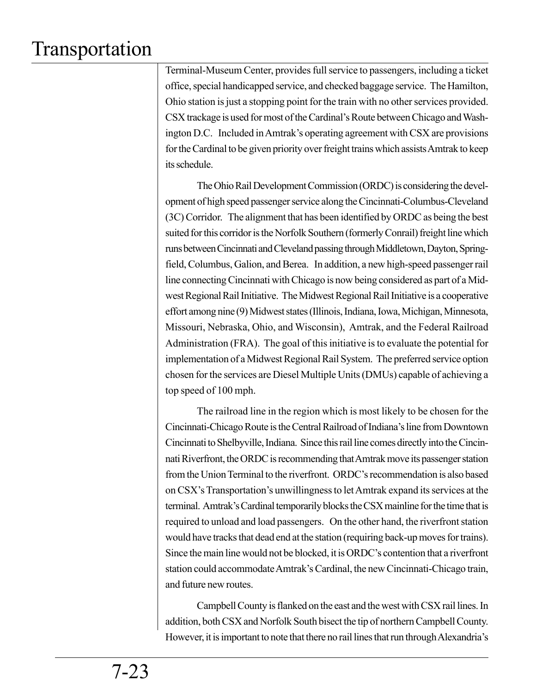Terminal-Museum Center, provides full service to passengers, including a ticket office, special handicapped service, and checked baggage service. The Hamilton, Ohio station is just a stopping point for the train with no other services provided. CSX trackage is used for most of the Cardinal's Route between Chicago and Washington D.C. Included in Amtrak's operating agreement with CSX are provisions for the Cardinal to be given priority over freight trains which assists Amtrak to keep its schedule.

The Ohio Rail Development Commission (ORDC) is considering the development of high speed passenger service along the Cincinnati-Columbus-Cleveland (3C) Corridor. The alignment that has been identified by ORDC as being the best suited for this corridor is the Norfolk Southern (formerly Conrail) freight line which runs between Cincinnati and Cleveland passing through Middletown, Dayton, Springfield, Columbus, Galion, and Berea. In addition, a new high-speed passenger rail line connecting Cincinnati with Chicago is now being considered as part of a Midwest Regional Rail Initiative. The Midwest Regional Rail Initiative is a cooperative effort among nine (9) Midwest states (Illinois, Indiana, Iowa, Michigan, Minnesota, Missouri, Nebraska, Ohio, and Wisconsin), Amtrak, and the Federal Railroad Administration (FRA). The goal of this initiative is to evaluate the potential for implementation of a Midwest Regional Rail System. The preferred service option chosen for the services are Diesel Multiple Units (DMUs) capable of achieving a top speed of 100 mph.

The railroad line in the region which is most likely to be chosen for the Cincinnati-Chicago Route is the Central Railroad of Indiana's line from Downtown Cincinnati to Shelbyville, Indiana. Since this rail line comes directly into the Cincinnati Riverfront, the ORDC is recommending that Amtrak move its passenger station from the Union Terminal to the riverfront. ORDC's recommendation is also based on CSX's Transportation's unwillingness to let Amtrak expand its services at the terminal. Amtrak's Cardinal temporarily blocks the CSX mainline for the time that is required to unload and load passengers. On the other hand, the riverfront station would have tracks that dead end at the station (requiring back-up moves for trains). Since the main line would not be blocked, it is ORDC's contention that a riverfront station could accommodate Amtrak's Cardinal, the new Cincinnati-Chicago train, and future new routes.

Campbell County is flanked on the east and the west with CSX rail lines. In addition, both CSX and Norfolk South bisect the tip of northern Campbell County. However, it is important to note that there no rail lines that run through Alexandria's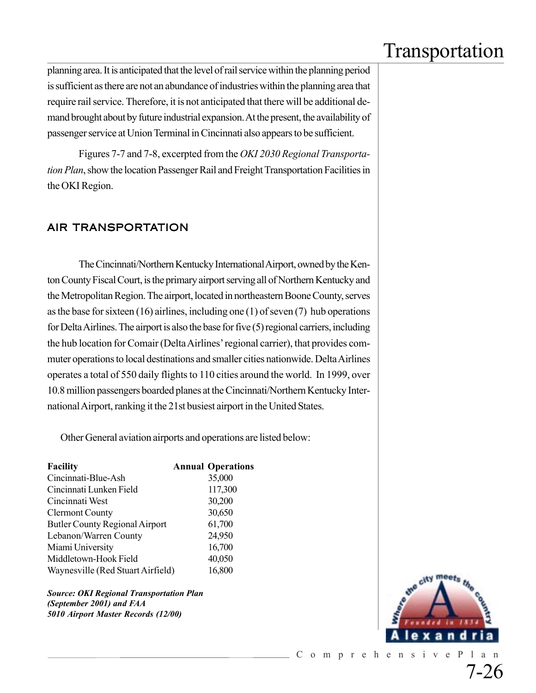planning area. It is anticipated that the level of rail service within the planning period is sufficient as there are not an abundance of industries within the planning area that require rail service. Therefore, it is not anticipated that there will be additional demand brought about by future industrial expansion. At the present, the availability of passenger service at Union Terminal in Cincinnati also appears to be sufficient.

Figures 7-7 and 7-8, excerpted from the *OKI 2030 Regional Transportation Plan*, show the location Passenger Rail and Freight Transportation Facilities in the OKI Region.

### AIR TRANSPORTATION

The Cincinnati/Northern Kentucky International Airport, owned by the Kenton County Fiscal Court, is the primary airport serving all of Northern Kentucky and the Metropolitan Region. The airport, located in northeastern Boone County, serves as the base for sixteen (16) airlines, including one (1) of seven (7) hub operations for Delta Airlines. The airport is also the base for five (5) regional carriers, including the hub location for Comair (Delta Airlines' regional carrier), that provides commuter operations to local destinations and smaller cities nationwide. Delta Airlines operates a total of 550 daily flights to 110 cities around the world. In 1999, over 10.8 million passengers boarded planes at the Cincinnati/Northern Kentucky International Airport, ranking it the 21st busiest airport in the United States.

Other General aviation airports and operations are listed below:

| <b>Facility</b>                       | <b>Annual Operations</b> |
|---------------------------------------|--------------------------|
| Cincinnati-Blue-Ash                   | 35,000                   |
| Cincinnati Lunken Field               | 117,300                  |
| Cincinnati West                       | 30,200                   |
| <b>Clermont County</b>                | 30,650                   |
| <b>Butler County Regional Airport</b> | 61,700                   |
| Lebanon/Warren County                 | 24,950                   |
| Miami University                      | 16,700                   |
| Middletown-Hook Field                 | 40,050                   |
| Waynesville (Red Stuart Airfield)     | 16,800                   |

*Source: OKI Regional Transportation Plan (September 2001) and FAA 5010 Airport Master Records (12/00)*

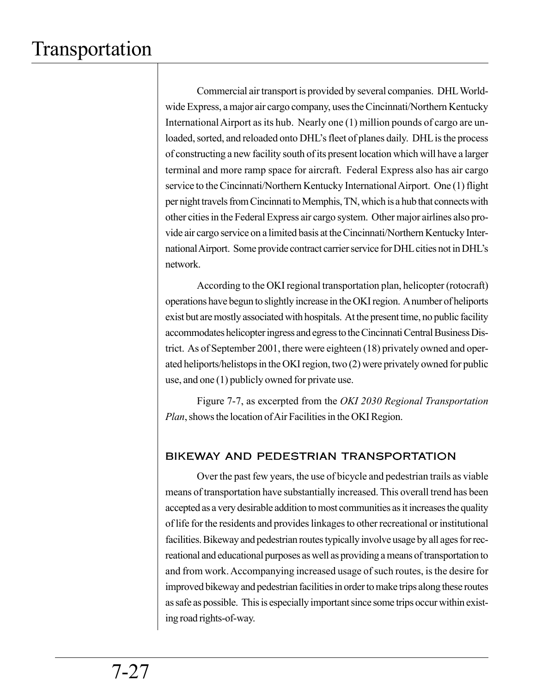Commercial air transport is provided by several companies. DHL Worldwide Express, a major air cargo company, uses the Cincinnati/Northern Kentucky International Airport as its hub. Nearly one (1) million pounds of cargo are unloaded, sorted, and reloaded onto DHL's fleet of planes daily. DHL is the process of constructing a new facility south of its present location which will have a larger terminal and more ramp space for aircraft. Federal Express also has air cargo service to the Cincinnati/Northern Kentucky International Airport. One (1) flight per night travels from Cincinnati to Memphis, TN, which is a hub that connects with other cities in the Federal Express air cargo system. Other major airlines also provide air cargo service on a limited basis at the Cincinnati/Northern Kentucky International Airport. Some provide contract carrier service for DHL cities not in DHL's network.

According to the OKI regional transportation plan, helicopter (rotocraft) operations have begun to slightly increase in the OKI region. A number of heliports exist but are mostly associated with hospitals. At the present time, no public facility accommodates helicopter ingress and egress to the Cincinnati Central Business District. As of September 2001, there were eighteen (18) privately owned and operated heliports/helistops in the OKI region, two (2) were privately owned for public use, and one (1) publicly owned for private use.

Figure 7-7, as excerpted from the *OKI 2030 Regional Transportation Plan*, shows the location of Air Facilities in the OKI Region.

### BIKEWAY AND PEDESTRIAN TRANSPORTATION

Over the past few years, the use of bicycle and pedestrian trails as viable means of transportation have substantially increased. This overall trend has been accepted as a very desirable addition to most communities as it increases the quality of life for the residents and provides linkages to other recreational or institutional facilities. Bikeway and pedestrian routes typically involve usage by all ages for recreational and educational purposes as well as providing a means of transportation to and from work. Accompanying increased usage of such routes, is the desire for improved bikeway and pedestrian facilities in order to make trips along these routes as safe as possible. This is especially important since some trips occur within existing road rights-of-way.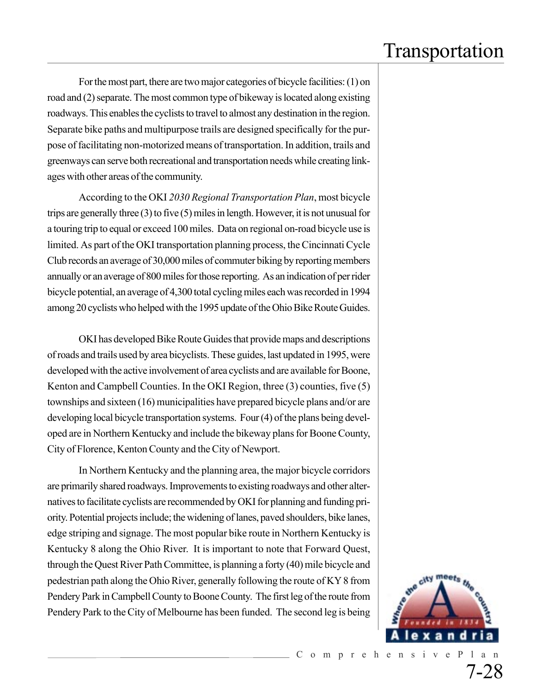For the most part, there are two major categories of bicycle facilities: (1) on road and (2) separate. The most common type of bikeway is located along existing roadways. This enables the cyclists to travel to almost any destination in the region. Separate bike paths and multipurpose trails are designed specifically for the purpose of facilitating non-motorized means of transportation. In addition, trails and greenways can serve both recreational and transportation needs while creating linkages with other areas of the community.

According to the OKI *2030 Regional Transportation Plan*, most bicycle trips are generally three (3) to five (5) miles in length. However, it is not unusual for a touring trip to equal or exceed 100 miles. Data on regional on-road bicycle use is limited. As part of the OKI transportation planning process, the Cincinnati Cycle Club records an average of 30,000 miles of commuter biking by reporting members annually or an average of 800 miles for those reporting. As an indication of per rider bicycle potential, an average of 4,300 total cycling miles each was recorded in 1994 among 20 cyclists who helped with the 1995 update of the Ohio Bike Route Guides.

OKI has developed Bike Route Guides that provide maps and descriptions of roads and trails used by area bicyclists. These guides, last updated in 1995, were developed with the active involvement of area cyclists and are available for Boone, Kenton and Campbell Counties. In the OKI Region, three (3) counties, five (5) townships and sixteen (16) municipalities have prepared bicycle plans and/or are developing local bicycle transportation systems. Four (4) of the plans being developed are in Northern Kentucky and include the bikeway plans for Boone County, City of Florence, Kenton County and the City of Newport.

In Northern Kentucky and the planning area, the major bicycle corridors are primarily shared roadways. Improvements to existing roadways and other alternatives to facilitate cyclists are recommended by OKI for planning and funding priority. Potential projects include; the widening of lanes, paved shoulders, bike lanes, edge striping and signage. The most popular bike route in Northern Kentucky is Kentucky 8 along the Ohio River. It is important to note that Forward Quest, through the Quest River Path Committee, is planning a forty (40) mile bicycle and pedestrian path along the Ohio River, generally following the route of KY 8 from Pendery Park in Campbell County to Boone County. The first leg of the route from Pendery Park to the City of Melbourne has been funded. The second leg is being

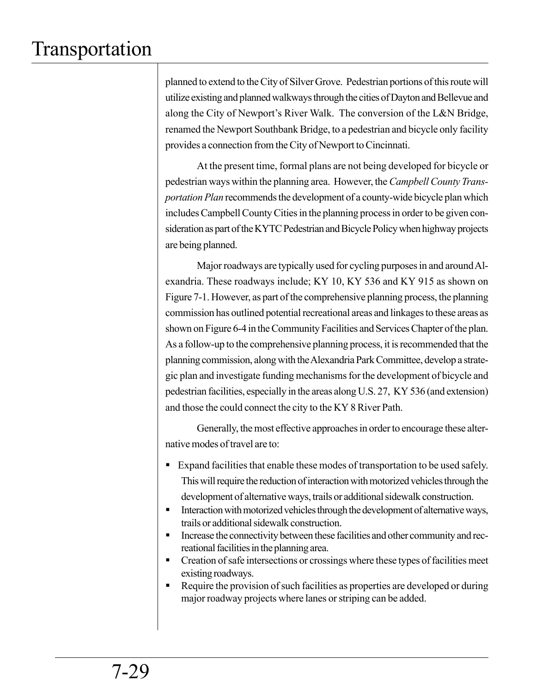planned to extend to the City of Silver Grove. Pedestrian portions of this route will utilize existing and planned walkways through the cities of Dayton and Bellevue and along the City of Newport's River Walk. The conversion of the L&N Bridge, renamed the Newport Southbank Bridge, to a pedestrian and bicycle only facility provides a connection from the City of Newport to Cincinnati.

At the present time, formal plans are not being developed for bicycle or pedestrian ways within the planning area. However, the *Campbell County Transportation Plan* recommends the development of a county-wide bicycle plan which includes Campbell County Cities in the planning process in order to be given consideration as part of the KYTC Pedestrian and Bicycle Policy when highway projects are being planned.

Major roadways are typically used for cycling purposes in and around Alexandria. These roadways include; KY 10, KY 536 and KY 915 as shown on Figure 7-1. However, as part of the comprehensive planning process, the planning commission has outlined potential recreational areas and linkages to these areas as shown on Figure 6-4 in the Community Facilities and Services Chapter of the plan. As a follow-up to the comprehensive planning process, it is recommended that the planning commission, along with the Alexandria Park Committee, develop a strategic plan and investigate funding mechanisms for the development of bicycle and pedestrian facilities, especially in the areas along U.S. 27, KY 536 (and extension) and those the could connect the city to the KY 8 River Path.

Generally, the most effective approaches in order to encourage these alternative modes of travel are to:

- Expand facilities that enable these modes of transportation to be used safely. This will require the reduction of interaction with motorized vehicles through the development of alternative ways, trails or additional sidewalk construction.
- **Interaction with motorized vehicles through the development of alternative ways,** trails or additional sidewalk construction.
- Increase the connectivity between these facilities and other community and recreational facilities in the planning area.
- **Creation of safe intersections or crossings where these types of facilities meet** existing roadways.
- Require the provision of such facilities as properties are developed or during major roadway projects where lanes or striping can be added.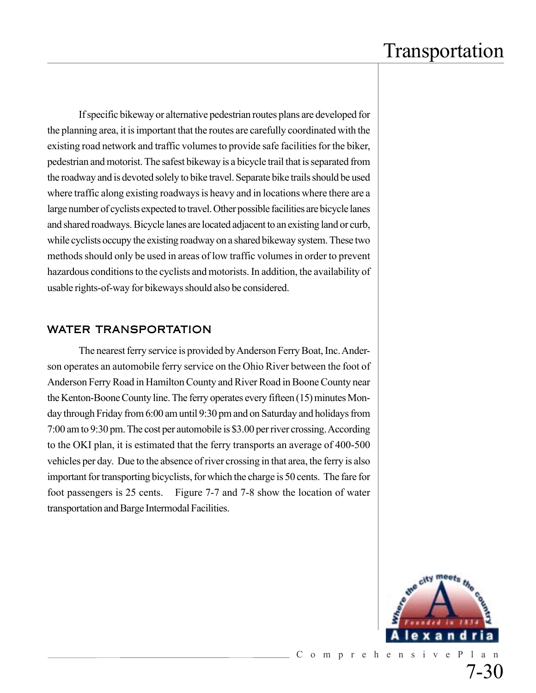If specific bikeway or alternative pedestrian routes plans are developed for the planning area, it is important that the routes are carefully coordinated with the existing road network and traffic volumes to provide safe facilities for the biker, pedestrian and motorist. The safest bikeway is a bicycle trail that is separated from the roadway and is devoted solely to bike travel. Separate bike trails should be used where traffic along existing roadways is heavy and in locations where there are a large number of cyclists expected to travel. Other possible facilities are bicycle lanes and shared roadways. Bicycle lanes are located adjacent to an existing land or curb, while cyclists occupy the existing roadway on a shared bikeway system. These two methods should only be used in areas of low traffic volumes in order to prevent hazardous conditions to the cyclists and motorists. In addition, the availability of usable rights-of-way for bikeways should also be considered.

### WATER TRANSPORTATION

The nearest ferry service is provided by Anderson Ferry Boat, Inc. Anderson operates an automobile ferry service on the Ohio River between the foot of Anderson Ferry Road in Hamilton County and River Road in Boone County near the Kenton-Boone County line. The ferry operates every fifteen (15) minutes Monday through Friday from 6:00 am until 9:30 pm and on Saturday and holidays from 7:00 am to 9:30 pm. The cost per automobile is \$3.00 per river crossing. According to the OKI plan, it is estimated that the ferry transports an average of 400-500 vehicles per day. Due to the absence of river crossing in that area, the ferry is also important for transporting bicyclists, for which the charge is 50 cents. The fare for foot passengers is 25 cents. Figure 7-7 and 7-8 show the location of water transportation and Barge Intermodal Facilities.

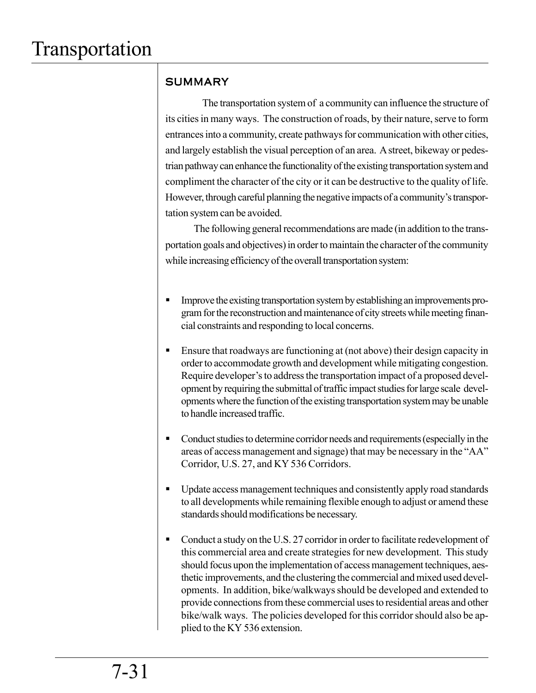### **SUMMARY**

 The transportation system of a community can influence the structure of its cities in many ways. The construction of roads, by their nature, serve to form entrances into a community, create pathways for communication with other cities, and largely establish the visual perception of an area. A street, bikeway or pedestrian pathway can enhance the functionality of the existing transportation system and compliment the character of the city or it can be destructive to the quality of life. However, through careful planning the negative impacts of a community's transportation system can be avoided.

 The following general recommendations are made (in addition to the transportation goals and objectives) in order to maintain the character of the community while increasing efficiency of the overall transportation system:

- **Improve the existing transportation system by establishing an improvements pro**gram for the reconstruction and maintenance of city streets while meeting financial constraints and responding to local concerns.
- Ensure that roadways are functioning at (not above) their design capacity in order to accommodate growth and development while mitigating congestion. Require developer's to address the transportation impact of a proposed development by requiring the submittal of traffic impact studies for large scale developments where the function of the existing transportation system may be unable to handle increased traffic.
- Conduct studies to determine corridor needs and requirements (especially in the areas of access management and signage) that may be necessary in the "AA" Corridor, U.S. 27, and KY 536 Corridors.
- Update access management techniques and consistently apply road standards to all developments while remaining flexible enough to adjust or amend these standards should modifications be necessary.
- Conduct a study on the U.S. 27 corridor in order to facilitate redevelopment of this commercial area and create strategies for new development. This study should focus upon the implementation of access management techniques, aesthetic improvements, and the clustering the commercial and mixed used developments. In addition, bike/walkways should be developed and extended to provide connections from these commercial uses to residential areas and other bike/walk ways. The policies developed for this corridor should also be applied to the KY 536 extension.